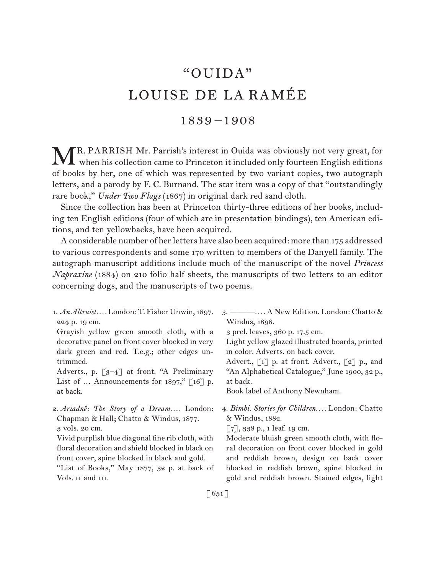# "OUIDA" LOUISE DE LA RAMÉE

# 1839 –1908

MR. PARRISH Mr. Parrish's interest in Ouida was obviously not very great, for when his collection came to Princeton it included only fourteen English editions  $\Delta$  when his collection came to Princeton it included only fourteen English editions of books by her, one of which was represented by two variant copies, two autograph letters, and a parody by F. C. Burnand. The star item was a copy of that "outstandingly rare book," *Under Two Flags* (1867) in original dark red sand cloth.

Since the collection has been at Princeton thirty-three editions of her books, including ten English editions (four of which are in presentation bindings), ten American editions, and ten yellowbacks, have been acquired.

A considerable number of her letters have also been acquired: more than 175 addressed to various correspondents and some 170 written to members of the Danyell family. The autograph manuscript additions include much of the manuscript of the novel *Princess Napraxine* (1884) on 210 folio half sheets, the manuscripts of two letters to an editor concerning dogs, and the manuscripts of two poems.

1.  *An Altruist. . . .* London: T. Fisher Unwin, 1897. 224 p. 19 cm. Grayish yellow green smooth cloth, with a decorative panel on front cover blocked in very dark green and red. T.e.g.; other edges untrimmed. Adverts., p. [3–4] at front. "A Preliminary List of  $\ldots$  Announcements for 1897," [16] p. at back. 2.  *Ariadnê: The Story of a Dream. . . .* London: Chapman & Hall; Chatto & Windus, 1877. 3 vols. 20 cm. Vivid purplish blue diagonal fine rib cloth, with floral decoration and shield blocked in black on 3.  ———*. . . .* A New Edition. London: Chatto & Windus, 1898. 3 prel. leaves, 360 p. 17.5 cm. Light yellow glazed illustrated boards, printed in color. Adverts. on back cover. Advert., [1] p. at front. Advert., [2] p., and "An Alphabetical Catalogue," June 1900, 32 p., at back. Book label of Anthony Newnham. 4.  *Bimbi. Stories for Children. . . .* London: Chatto & Windus, 1882.  $\lbrack 7 \rbrack, 338 \, p., 1$  leaf. 19 cm.

front cover, spine blocked in black and gold. "List of Books," May 1877, 32 p. at back of Vols. II and III.

Moderate bluish green smooth cloth, with floral decoration on front cover blocked in gold and reddish brown, design on back cover blocked in reddish brown, spine blocked in gold and reddish brown. Stained edges, light

 $[651]$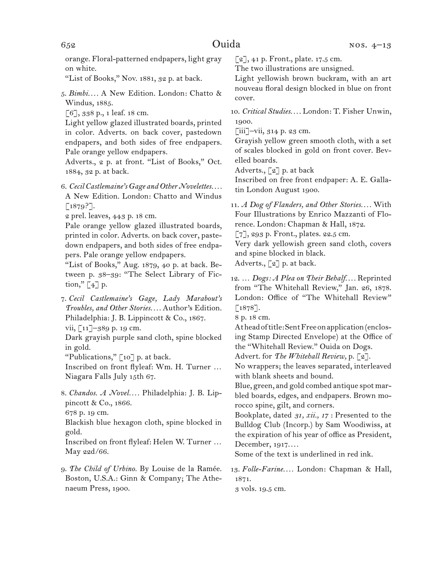orange. Floral-patterned endpapers, light gray on white.

"List of Books," Nov. 1881, 32 p. at back.

5.  *Bimbi. . . .* A New Edition. London: Chatto & Windus, 1885.

[6], 338 p., 1 leaf. 18 cm.

Light yellow glazed illustrated boards, printed in color. Adverts. on back cover, pastedown endpapers, and both sides of free endpapers. Pale orange yellow endpapers.

Adverts., 2 p. at front. "List of Books," Oct. 1884, 32 p. at back.

6.  *Cecil Castlemaine's Gage and Other Novelettes. . . .* A New Edition. London: Chatto and Windus  $[1879?$ ].

2 prel. leaves, 443 p. 18 cm.

Pale orange yellow glazed illustrated boards, printed in color. Adverts. on back cover, pastedown endpapers, and both sides of free endpapers. Pale orange yellow endpapers.

"List of Books," Aug. 1879, 40 p. at back. Between p. 38–39: "The Select Library of Fiction,"  $\lceil 4 \rceil$  p.

7.  *Cecil Castlemaine's Gage, Lady Marabout's Troubles, and Other Stories. . . .* Author's Edition. Philadelphia: J. B. Lippincott & Co., 1867.

vii, [11]–389 p. 19 cm.

Dark grayish purple sand cloth, spine blocked in gold.

"Publications," [10] p. at back.

Inscribed on front flyleaf: Wm. H. Turner … Niagara Falls July 15th 67.

8.  *Chandos. A Novel. . . .* Philadelphia: J. B. Lippincott & Co., 1866. 678 p. 19 cm.

Blackish blue hexagon cloth, spine blocked in gold.

Inscribed on front flyleaf: Helen W. Turner … May 22d/66.

9.  *The Child of Urbino.* By Louise de la Ramée. Boston, U.S.A.: Ginn & Company; The Athenaeum Press, 1900.

 $\lceil 2 \rceil$ , 41 p. Front., plate. 17.5 cm.

The two illustrations are unsigned.

Light yellowish brown buckram, with an art nouveau floral design blocked in blue on front cover.

10.  *Critical Studies. . . .* London: T. Fisher Unwin, 1900.

 $\left[\!\!\left[\!\!\begin{array}{c} 1 \ 1 \ 1 \end{array}\!\!\right]\!\!\right]$  –vii, 314 p. 23 cm.

Grayish yellow green smooth cloth, with a set of scales blocked in gold on front cover. Bevelled boards.

Adverts., [2] p. at back

Inscribed on free front endpaper: A. E. Gallatin London August 1900.

11.  *A Dog of Flanders, and Other Stories. . . .* With Four Illustrations by Enrico Mazzanti of Florence. London: Chapman & Hall, 1872.

[7], 293 p. Front., plates. 22.5 cm.

Very dark yellowish green sand cloth, covers and spine blocked in black.

Adverts., [2] p. at back.

12.  … *Dogs: A Plea on Their Behalf. . . .* Reprinted from "The Whitehall Review," Jan. 26, 1878. London: Office of "The Whitehall Review"  $[1878]$ .

8 p. 18 cm.

Atheadoftitle:SentFreeonapplication(enclosing Stamp Directed Envelope) at the Office of the "Whitehall Review." Ouida on Dogs.

Advert. for *The Whitehall Review,* p. [2].

No wrappers; the leaves separated, interleaved with blank sheets and bound.

Blue, green, and gold combed antique spot marbled boards, edges, and endpapers. Brown morocco spine, gilt, and corners.

Bookplate, dated *31, xii., 17* : Presented to the Bulldog Club (Incorp.) by Sam Woodiwiss, at the expiration of his year of office as President, December, 1917*. . . .*

Some of the text is underlined in red ink.

13.  *Folle-Farine. . . .* London: Chapman & Hall, 1871.

3 vols. 19.5 cm.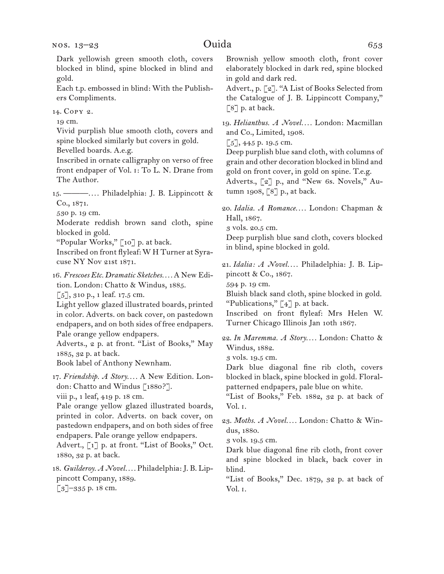Dark yellowish green smooth cloth, covers blocked in blind, spine blocked in blind and gold.

Each t.p. embossed in blind: With the Publishers Compliments.

14.  Copy 2.

19 cm.

Vivid purplish blue smooth cloth, covers and spine blocked similarly but covers in gold.

Bevelled boards. A.e.g.

Inscribed in ornate calligraphy on verso of free front endpaper of Vol. i: To L. N. Drane from The Author.

15.  ———*. . . .* Philadelphia: J. B. Lippincott & Co., 1871.

530 p. 19 cm.

Moderate reddish brown sand cloth, spine blocked in gold.

"Popular Works," [10] p. at back.

Inscribed on front flyleaf: W H Turner at Syracuse NY Nov 21st 1871.

16.  *Frescoes Etc. Dramatic Sketches. . . .* A New Edition. London: Chatto & Windus, 1885.

[5], 310 p., 1 leaf. 17.5 cm.

Light yellow glazed illustrated boards, printed in color. Adverts. on back cover, on pastedown endpapers, and on both sides of free endpapers. Pale orange yellow endpapers.

Adverts., 2 p. at front. "List of Books," May 1885, 32 p. at back.

Book label of Anthony Newnham.

17.  *Friendship. A Story. . . .* A New Edition. London: Chatto and Windus [1880?]. viii p., 1 leaf, 419 p. 18 cm.

Pale orange yellow glazed illustrated boards, printed in color. Adverts. on back cover, on pastedown endpapers, and on both sides of free endpapers. Pale orange yellow endpapers. Advert., [1] p. at front. "List of Books," Oct.

1880, 32 p. at back. 18.  *Guilderoy. A Novel. . . .* Philadelphia:J. B. Lip-

pincott Company, 1889.

[3]–335 p. 18 cm.

Brownish yellow smooth cloth, front cover elaborately blocked in dark red, spine blocked in gold and dark red.

Advert., p. [2]. "A List of Books Selected from the Catalogue of J. B. Lippincott Company," [8] p. at back.

19.  *Helianthus. A Novel. . . .* London: Macmillan and Co., Limited, 1908.

 $[5]$ , 445 p. 19.5 cm.

Deep purplish blue sand cloth, with columns of grain and other decoration blocked in blind and gold on front cover, in gold on spine. T.e.g. Adverts., [2] p., and "New 6s. Novels," Autumn 1908, [8] p., at back.

20.  *Idalia. A Romance. . . .* London: Chapman & Hall, 1867.

3 vols. 20.5 cm.

Deep purplish blue sand cloth, covers blocked in blind, spine blocked in gold.

21.  *Idalia: A Novel. . . .* Philadelphia: J. B. Lippincott & Co., 1867.

594 p. 19 cm.

Bluish black sand cloth, spine blocked in gold. "Publications,"  $\lceil 4 \rceil$  p. at back.

Inscribed on front flyleaf: Mrs Helen W. Turner Chicago Illinois Jan 10th 1867.

22.  *In Maremma. A Story. . . .* London: Chatto & Windus, 1882.

3 vols. 19.5 cm.

Dark blue diagonal fine rib cloth, covers blocked in black, spine blocked in gold. Floralpatterned endpapers, pale blue on white.

"List of Books," Feb. 1882, 32 p. at back of Vol. i.

23.  *Moths. A Novel. . . .* London: Chatto & Windus, 1880.

3 vols. 19.5 cm.

Dark blue diagonal fine rib cloth, front cover and spine blocked in black, back cover in blind.

"List of Books," Dec. 1879, 32 p. at back of Vol. i.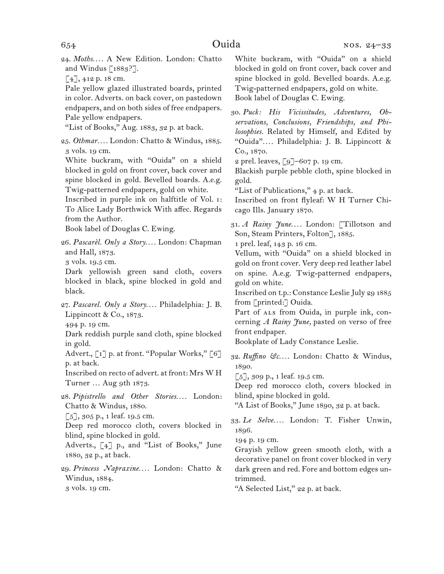24.  *Moths. . . .* A New Edition. London: Chatto and Windus  $\lceil 1883 \rceil$ .

[4], 412 p. 18 cm.

Pale yellow glazed illustrated boards, printed in color. Adverts. on back cover, on pastedown endpapers, and on both sides of free endpapers. Pale yellow endpapers.

"List of Books," Aug. 1883, 32 p. at back.

25.  *Othmar. . . .* London: Chatto & Windus, 1885. 3 vols. 19 cm.

White buckram, with "Ouida" on a shield blocked in gold on front cover, back cover and spine blocked in gold. Bevelled boards. A.e.g. Twig-patterned endpapers, gold on white.

Inscribed in purple ink on halftitle of Vol. i: To Alice Lady Borthwick With affec. Regards from the Author.

Book label of Douglas C. Ewing.

26.  *Pascarèl. Only a Story. . . .* London: Chapman and Hall, 1873.

3 vols. 19.5 cm.

Dark yellowish green sand cloth, covers blocked in black, spine blocked in gold and black.

27.  *Pascarel. Only a Story. . . .* Philadelphia: J. B. Lippincott & Co., 1873.

494 p. 19 cm.

Dark reddish purple sand cloth, spine blocked in gold.

Advert., [1] p. at front. "Popular Works," [6] p. at back.

Inscribed on recto of advert. at front: Mrs W H Turner … Aug 9th 1873.

28.  *Pipistrello and Other Stories. . . .* London: Chatto & Windus, 1880.

 $[5]$ , 305 p., 1 leaf. 19.5 cm.

Deep red morocco cloth, covers blocked in blind, spine blocked in gold.

Adverts., [4] p., and "List of Books," June 1880, 32 p., at back.

29.  *Princess Napraxine. . . .* London: Chatto & Windus, 1884.

3 vols. 19 cm.

White buckram, with "Ouida" on a shield blocked in gold on front cover, back cover and spine blocked in gold. Bevelled boards. A.e.g. Twig-patterned endpapers, gold on white. Book label of Douglas C. Ewing.

30.  *Puck: His Vicissitudes, Adventures, Observations, Conclusions, Friendships, and Philosophies.* Related by Himself, and Edited by "Ouida"*. . . .* Philadelphia: J. B. Lippincott & Co., 1870.

2 prel. leaves, [9]–607 p. 19 cm.

Blackish purple pebble cloth, spine blocked in gold.

"List of Publications," 4 p. at back.

Inscribed on front flyleaf: W H Turner Chicago Ills. January 1870.

31.  *A Rainy June. . . .* London: [Tillotson and Son, Steam Printers, Folton], 1885.

1 prel. leaf, 143 p. 16 cm.

Vellum, with "Ouida" on a shield blocked in gold on front cover. Very deep red leather label on spine. A.e.g. Twig-patterned endpapers, gold on white.

Inscribed on t.p.: Constance Leslie July 29 1885 from [printed:] Ouida.

Part of ALS from Ouida, in purple ink, concerning *A Rainy June,* pasted on verso of free front endpaper.

Bookplate of Lady Constance Leslie.

32.  *Ruffino &c. . . .* London: Chatto & Windus, 1890.

 $\lceil 5 \rceil$ , 309 p., 1 leaf. 19.5 cm.

Deep red morocco cloth, covers blocked in blind, spine blocked in gold.

"A List of Books," June 1890, 32 p. at back.

33.  *Le Selve. . . .* London: T. Fisher Unwin, 1896.

194 p. 19 cm.

Grayish yellow green smooth cloth, with a decorative panel on front cover blocked in very dark green and red. Fore and bottom edges untrimmed.

"A Selected List," 22 p. at back.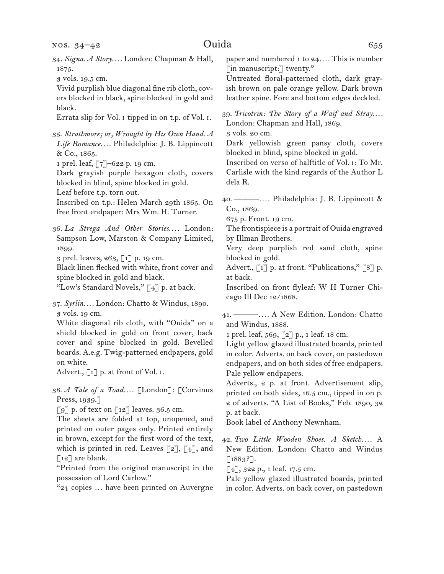| NOS. 34–42                                                                   | Ouida<br>655                                        |
|------------------------------------------------------------------------------|-----------------------------------------------------|
| 34. Signa. A Story London: Chapman & Hall,                                   | paper and numbered 1 to 24 This is number           |
| 1875.                                                                        | [in manuscript:] twenty."                           |
| 3 vols. 19.5 cm.                                                             | Untreated floral-patterned cloth, dark gray-        |
| Vivid purplish blue diagonal fine rib cloth, cov-                            | ish brown on pale orange yellow. Dark brown         |
| ers blocked in black, spine blocked in gold and                              | leather spine. Fore and bottom edges deckled.       |
| black.                                                                       | 39. Tricotrin: The Story of a Waif and Stray        |
| Errata slip for Vol. I tipped in on t.p. of Vol. I.                          | London: Chapman and Hall, 1869.                     |
| 35. Strathmore; or, Wrought by His Own Hand. A                               | 3 vols. 20 cm.                                      |
| Life Romance Philadelphia: J. B. Lippincott                                  | Dark yellowish green pansy cloth, covers            |
| & Co., 1865.                                                                 | blocked in blind, spine blocked in gold.            |
| 1 prel. leaf, [7]-622 p. 19 cm.                                              | Inscribed on verso of halftitle of Vol. 1: To Mr.   |
| Dark grayish purple hexagon cloth, covers                                    | Carlisle with the kind regards of the Author L      |
| blocked in blind, spine blocked in gold.                                     | dela R.                                             |
| Leaf before t.p. torn out.                                                   | 40. <b>-------</b> Philadelphia: J. B. Lippincott & |
| Inscribed on t.p.: Helen March 29th 1865. On                                 | Co., 1869.                                          |
| free front endpaper: Mrs Wm. H. Turner.                                      | 675 p. Front. 19 cm.                                |
| 36. La Strega And Other Stories London:                                      | The frontispiece is a portrait of Ouida engraved    |
| Sampson Low, Marston & Company Limited,                                      | by Illman Brothers.                                 |
| 1899.                                                                        | Very deep purplish red sand cloth, spine            |
| 3 prel. leaves, 263, [1] p. 19 cm.                                           | blocked in gold.                                    |
| Black linen flecked with white, front cover and                              | Advert., [1] p. at front. "Publications," [8] p.    |
| spine blocked in gold and black.                                             | at back.                                            |
| "Low's Standard Novels," [4] p. at back.                                     | Inscribed on front flyleaf: W H Turner Chi-         |
| 37. Syrlin London: Chatto & Windus, 1890.                                    | cago Ill Dec 12/1868.                               |
| 3 vols. 19 cm.                                                               | 41. —  A New Edition. London: Chatto                |
| White diagonal rib cloth, with "Ouida" on a                                  | and Windus, 1888.                                   |
| shield blocked in gold on front cover, back                                  | 1 prel. leaf, 569, [2] p., 1 leaf. 18 cm.           |
| cover and spine blocked in gold. Bevelled                                    | Light yellow glazed illustrated boards, printed     |
| boards. A.e.g. Twig-patterned endpapers, gold                                | in color. Adverts. on back cover, on pastedown      |
| on white.                                                                    | endpapers, and on both sides of free endpapers.     |
| Advert., [1] p. at front of Vol. I.                                          | Pale yellow endpapers.                              |
| 38. A Tale of a Toad [London]: [Corvinus                                     | Adverts., 2 p. at front. Advertisement slip,        |
| Press, 1939.]                                                                | printed on both sides, 16.5 cm., tipped in on p.    |
| $\lbrack 9 \rbrack$ p. of text on $\lbrack 12 \rbrack$ leaves. 36.5 cm.      | 2 of adverts. "A List of Books," Feb. 1890, 32      |
| The sheets are folded at top, unopened, and                                  | p. at back.                                         |
| printed on outer pages only. Printed entirely                                | Book label of Anthony Newnham.                      |
| in brown, except for the first word of the text,                             | 42. Two Little Wooden Shoes. A Sketch A             |
| which is printed in red. Leaves $\lbrack 2 \rbrack, \lbrack 4 \rbrack$ , and | New Edition. London: Chatto and Windus              |
| $\lceil 12 \rceil$ are blank.                                                | $\lbrack 1883? \rbrack.$                            |
| "Printed from the original manuscript in the                                 | [4], 322 p., 1 leaf. 17.5 cm.                       |
| possession of Lord Carlow."                                                  | Pale yellow glazed illustrated boards, printed      |
| "24 copies  have been printed on Auvergne                                    | in color. Adverts. on back cover, on pastedown      |
|                                                                              |                                                     |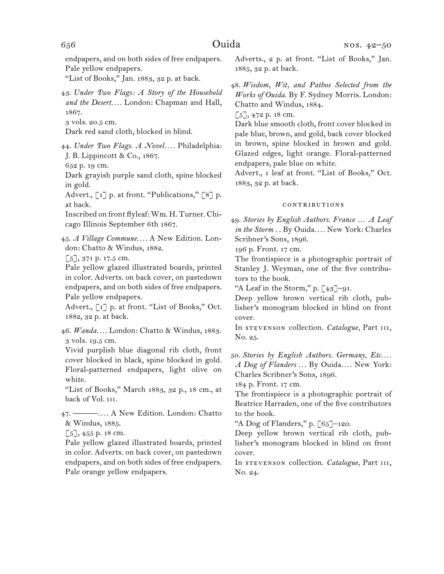endpapers, and on both sides of free endpapers. Pale yellow endpapers.

"List of Books," Jan. 1883, 32 p. at back.

43.  *Under Two Flags: A Story of the Household and the Desert. . . .* London: Chapman and Hall, 1867.

3 vols. 20.5 cm.

Dark red sand cloth, blocked in blind.

44.  *Under Two Flags. A Novel. . . .* Philadelphia: J. B. Lippincott & Co., 1867.

652 p. 19 cm.

Dark grayish purple sand cloth, spine blocked in gold.

Advert., [1] p. at front. "Publications," [8] p. at back.

Inscribed on front flyleaf:Wm. H. Turner. Chicago Illinois September 6th 1867.

45.  *A Village Commune. . . .* A New Edition. London: Chatto & Windus, 1882.

[5], 371 p. 17.5 cm.

Pale yellow glazed illustrated boards, printed in color. Adverts. on back cover, on pastedown endpapers, and on both sides of free endpapers. Pale yellow endpapers.

Advert., [1] p. at front. "List of Books," Oct. 1882, 32 p. at back.

46.  *Wanda. . . .* London: Chatto & Windus, 1883. 3 vols. 19.5 cm.

Vivid purplish blue diagonal rib cloth, front cover blocked in black, spine blocked in gold. Floral-patterned endpapers, light olive on white.

"List of Books," March 1883, 32 p., 18 cm., at back of Vol. III.

47.  ———*. . . .* A New Edition. London: Chatto & Windus, 1885.

 $[5]$ , 455 p. 18 cm.

Pale yellow glazed illustrated boards, printed in color. Adverts. on back cover, on pastedown endpapers, and on both sides of free endpapers. Pale orange yellow endpapers.

Adverts., 2 p. at front. "List of Books," Jan. 1885, 32 p. at back.

48.  *Wisdom, Wit, and Pathos Selected from the Works of Ouida.* By F. Sydney Morris. London: Chatto and Windus, 1884.

 $\lceil 5 \rceil$ , 472 p. 18 cm.

Dark blue smooth cloth, front cover blocked in pale blue, brown, and gold, back cover blocked in brown, spine blocked in brown and gold. Glazed edges, light orange. Floral-patterned endpapers, pale blue on white.

Advert., 1 leaf at front. "List of Books," Oct. 1883, 32 p. at back.

### contributions

49.  *Stories by English Authors. France … A Leaf in the Storm* . . By Ouida*. . . .* New York: Charles Scribner's Sons, 1896.

196 p. Front. 17 cm.

The frontispiece is a photographic portrait of Stanley J. Weyman, one of the five contributors to the book.

"A Leaf in the Storm," p.  $\lceil 43 \rceil$ –91.

Deep yellow brown vertical rib cloth, publisher's monogram blocked in blind on front cover.

In stevenson collection. *Catalogue,* Part iii, No. 25.

50. *Stories by English Authors. Germany, Etc. . . . A Dog of Flanders* . . . By Ouida*. . . .* New York: Charles Scribner's Sons, 1896.

184 p. Front. 17 cm.

The frontispiece is a photographic portrait of Beatrice Harraden, one of the five contributors to the book.

"A Dog of Flanders," p.  $[65]$ -120.

Deep yellow brown vertical rib cloth, publisher's monogram blocked in blind on front cover.

In stevenson collection. *Catalogue,* Part iii, No. 24.